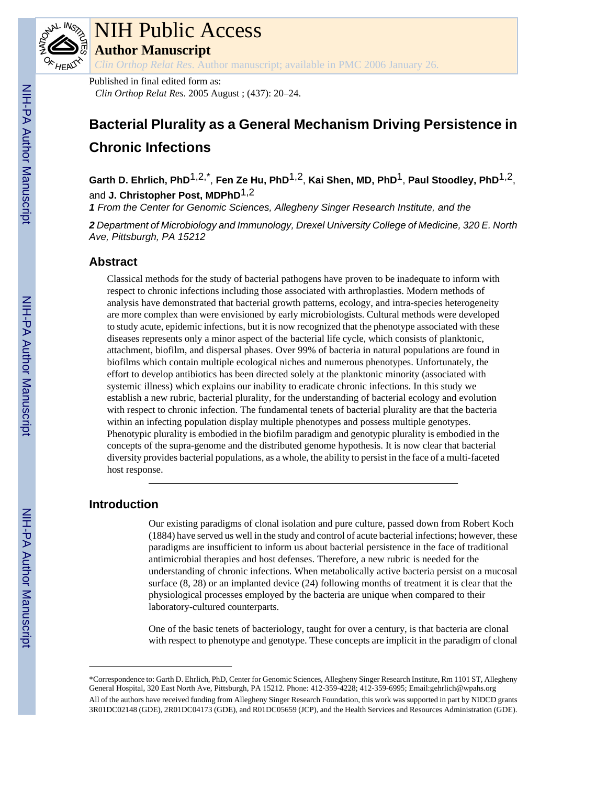

# NIH Public Access

**Author Manuscript**

*Clin Orthop Relat Res*. Author manuscript; available in PMC 2006 January 26.

Published in final edited form as: *Clin Orthop Relat Res*. 2005 August ; (437): 20–24.

# **Bacterial Plurality as a General Mechanism Driving Persistence in Chronic Infections**

**Garth D. Ehrlich, PhD**1,2,\* , **Fen Ze Hu, PhD**1,2, **Kai Shen, MD, PhD**1, **Paul Stoodley, PhD**1,2, and **J. Christopher Post, MDPhD**<sup>1,2</sup>

*1 From the Center for Genomic Sciences, Allegheny Singer Research Institute, and the*

*2 Department of Microbiology and Immunology, Drexel University College of Medicine, 320 E. North Ave, Pittsburgh, PA 15212*

### **Abstract**

Classical methods for the study of bacterial pathogens have proven to be inadequate to inform with respect to chronic infections including those associated with arthroplasties. Modern methods of analysis have demonstrated that bacterial growth patterns, ecology, and intra-species heterogeneity are more complex than were envisioned by early microbiologists. Cultural methods were developed to study acute, epidemic infections, but it is now recognized that the phenotype associated with these diseases represents only a minor aspect of the bacterial life cycle, which consists of planktonic, attachment, biofilm, and dispersal phases. Over 99% of bacteria in natural populations are found in biofilms which contain multiple ecological niches and numerous phenotypes. Unfortunately, the effort to develop antibiotics has been directed solely at the planktonic minority (associated with systemic illness) which explains our inability to eradicate chronic infections. In this study we establish a new rubric, bacterial plurality, for the understanding of bacterial ecology and evolution with respect to chronic infection. The fundamental tenets of bacterial plurality are that the bacteria within an infecting population display multiple phenotypes and possess multiple genotypes. Phenotypic plurality is embodied in the biofilm paradigm and genotypic plurality is embodied in the concepts of the supra-genome and the distributed genome hypothesis. It is now clear that bacterial diversity provides bacterial populations, as a whole, the ability to persist in the face of a multi-faceted host response.

## **Introduction**

Our existing paradigms of clonal isolation and pure culture, passed down from Robert Koch (1884) have served us well in the study and control of acute bacterial infections; however, these paradigms are insufficient to inform us about bacterial persistence in the face of traditional antimicrobial therapies and host defenses. Therefore, a new rubric is needed for the understanding of chronic infections. When metabolically active bacteria persist on a mucosal surface (8, 28) or an implanted device (24) following months of treatment it is clear that the physiological processes employed by the bacteria are unique when compared to their laboratory-cultured counterparts.

One of the basic tenets of bacteriology, taught for over a century, is that bacteria are clonal with respect to phenotype and genotype. These concepts are implicit in the paradigm of clonal

<sup>\*</sup>Correspondence to: Garth D. Ehrlich, PhD, Center for Genomic Sciences, Allegheny Singer Research Institute, Rm 1101 ST, Allegheny General Hospital, 320 East North Ave, Pittsburgh, PA 15212. Phone: 412-359-4228; 412-359-6995; Email:gehrlich@wpahs.org All of the authors have received funding from Allegheny Singer Research Foundation, this work was supported in part by NIDCD grants 3R01DC02148 (GDE), 2R01DC04173 (GDE), and R01DC05659 (JCP), and the Health Services and Resources Administration (GDE).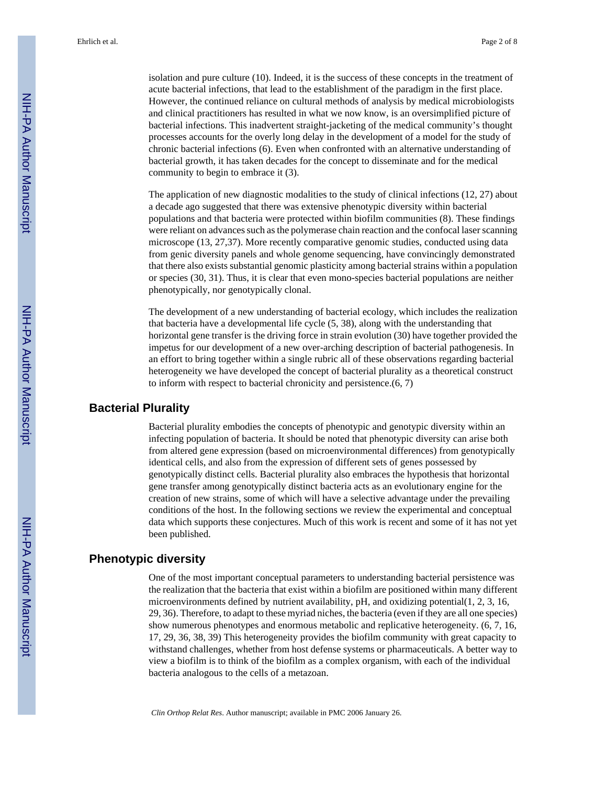isolation and pure culture (10). Indeed, it is the success of these concepts in the treatment of acute bacterial infections, that lead to the establishment of the paradigm in the first place. However, the continued reliance on cultural methods of analysis by medical microbiologists and clinical practitioners has resulted in what we now know, is an oversimplified picture of bacterial infections. This inadvertent straight-jacketing of the medical community's thought processes accounts for the overly long delay in the development of a model for the study of chronic bacterial infections (6). Even when confronted with an alternative understanding of bacterial growth, it has taken decades for the concept to disseminate and for the medical community to begin to embrace it (3).

The application of new diagnostic modalities to the study of clinical infections (12, 27) about a decade ago suggested that there was extensive phenotypic diversity within bacterial populations and that bacteria were protected within biofilm communities (8). These findings were reliant on advances such as the polymerase chain reaction and the confocal laser scanning microscope (13, 27,37). More recently comparative genomic studies, conducted using data from genic diversity panels and whole genome sequencing, have convincingly demonstrated that there also exists substantial genomic plasticity among bacterial strains within a population or species (30, 31). Thus, it is clear that even mono-species bacterial populations are neither phenotypically, nor genotypically clonal.

The development of a new understanding of bacterial ecology, which includes the realization that bacteria have a developmental life cycle (5, 38), along with the understanding that horizontal gene transfer is the driving force in strain evolution (30) have together provided the impetus for our development of a new over-arching description of bacterial pathogenesis. In an effort to bring together within a single rubric all of these observations regarding bacterial heterogeneity we have developed the concept of bacterial plurality as a theoretical construct to inform with respect to bacterial chronicity and persistence.(6, 7)

#### **Bacterial Plurality**

Bacterial plurality embodies the concepts of phenotypic and genotypic diversity within an infecting population of bacteria. It should be noted that phenotypic diversity can arise both from altered gene expression (based on microenvironmental differences) from genotypically identical cells, and also from the expression of different sets of genes possessed by genotypically distinct cells. Bacterial plurality also embraces the hypothesis that horizontal gene transfer among genotypically distinct bacteria acts as an evolutionary engine for the creation of new strains, some of which will have a selective advantage under the prevailing conditions of the host. In the following sections we review the experimental and conceptual data which supports these conjectures. Much of this work is recent and some of it has not yet been published.

#### **Phenotypic diversity**

One of the most important conceptual parameters to understanding bacterial persistence was the realization that the bacteria that exist within a biofilm are positioned within many different microenvironments defined by nutrient availability, pH, and oxidizing potential(1, 2, 3, 16, 29, 36). Therefore, to adapt to these myriad niches, the bacteria (even if they are all one species) show numerous phenotypes and enormous metabolic and replicative heterogeneity. (6, 7, 16, 17, 29, 36, 38, 39) This heterogeneity provides the biofilm community with great capacity to withstand challenges, whether from host defense systems or pharmaceuticals. A better way to view a biofilm is to think of the biofilm as a complex organism, with each of the individual bacteria analogous to the cells of a metazoan.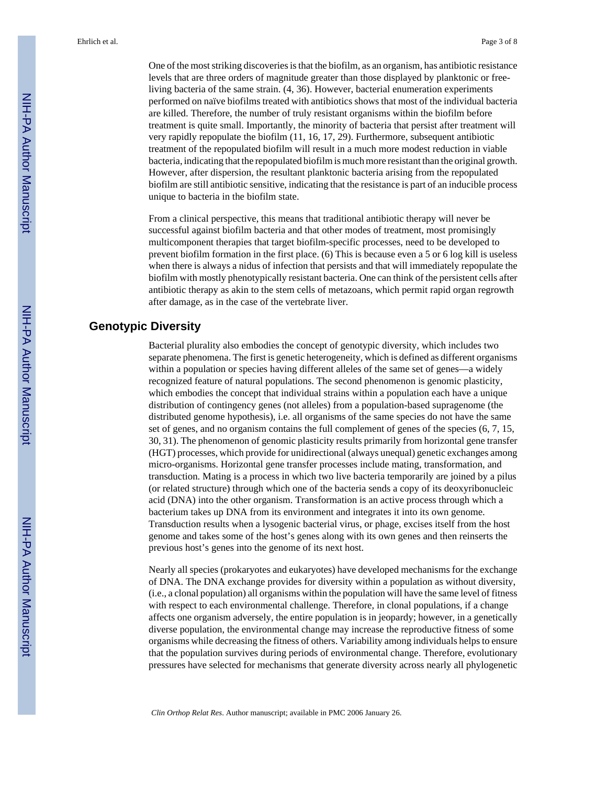One of the most striking discoveries is that the biofilm, as an organism, has antibiotic resistance levels that are three orders of magnitude greater than those displayed by planktonic or freeliving bacteria of the same strain. (4, 36). However, bacterial enumeration experiments performed on naïve biofilms treated with antibiotics shows that most of the individual bacteria are killed. Therefore, the number of truly resistant organisms within the biofilm before treatment is quite small. Importantly, the minority of bacteria that persist after treatment will very rapidly repopulate the biofilm (11, 16, 17, 29). Furthermore, subsequent antibiotic treatment of the repopulated biofilm will result in a much more modest reduction in viable bacteria, indicating that the repopulated biofilm is much more resistant than the original growth. However, after dispersion, the resultant planktonic bacteria arising from the repopulated biofilm are still antibiotic sensitive, indicating that the resistance is part of an inducible process unique to bacteria in the biofilm state.

From a clinical perspective, this means that traditional antibiotic therapy will never be successful against biofilm bacteria and that other modes of treatment, most promisingly multicomponent therapies that target biofilm-specific processes, need to be developed to prevent biofilm formation in the first place. (6) This is because even a 5 or 6 log kill is useless when there is always a nidus of infection that persists and that will immediately repopulate the biofilm with mostly phenotypically resistant bacteria. One can think of the persistent cells after antibiotic therapy as akin to the stem cells of metazoans, which permit rapid organ regrowth after damage, as in the case of the vertebrate liver.

#### **Genotypic Diversity**

Bacterial plurality also embodies the concept of genotypic diversity, which includes two separate phenomena. The first is genetic heterogeneity, which is defined as different organisms within a population or species having different alleles of the same set of genes—a widely recognized feature of natural populations. The second phenomenon is genomic plasticity, which embodies the concept that individual strains within a population each have a unique distribution of contingency genes (not alleles) from a population-based supragenome (the distributed genome hypothesis), i.e. all organisms of the same species do not have the same set of genes, and no organism contains the full complement of genes of the species (6, 7, 15, 30, 31). The phenomenon of genomic plasticity results primarily from horizontal gene transfer (HGT) processes, which provide for unidirectional (always unequal) genetic exchanges among micro-organisms. Horizontal gene transfer processes include mating, transformation, and transduction. Mating is a process in which two live bacteria temporarily are joined by a pilus (or related structure) through which one of the bacteria sends a copy of its deoxyribonucleic acid (DNA) into the other organism. Transformation is an active process through which a bacterium takes up DNA from its environment and integrates it into its own genome. Transduction results when a lysogenic bacterial virus, or phage, excises itself from the host genome and takes some of the host's genes along with its own genes and then reinserts the previous host's genes into the genome of its next host.

Nearly all species (prokaryotes and eukaryotes) have developed mechanisms for the exchange of DNA. The DNA exchange provides for diversity within a population as without diversity, (i.e., a clonal population) all organisms within the population will have the same level of fitness with respect to each environmental challenge. Therefore, in clonal populations, if a change affects one organism adversely, the entire population is in jeopardy; however, in a genetically diverse population, the environmental change may increase the reproductive fitness of some organisms while decreasing the fitness of others. Variability among individuals helps to ensure that the population survives during periods of environmental change. Therefore, evolutionary pressures have selected for mechanisms that generate diversity across nearly all phylogenetic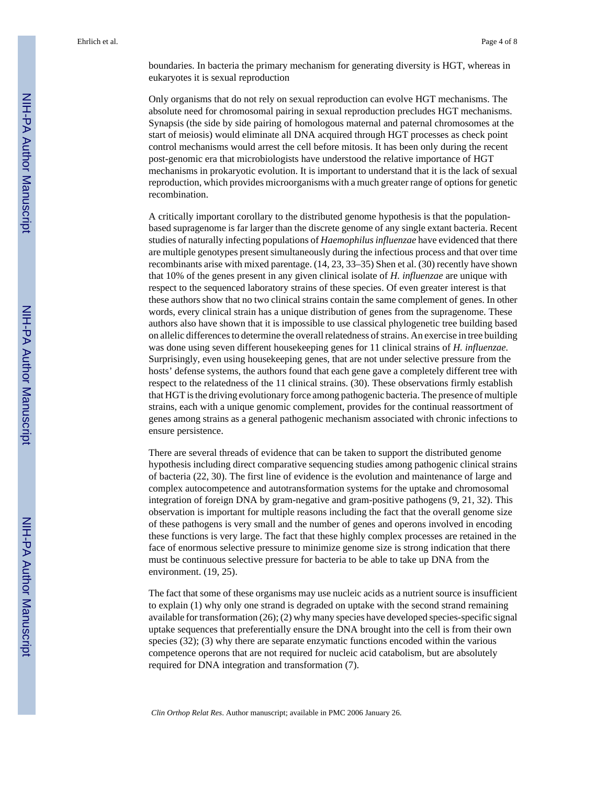boundaries. In bacteria the primary mechanism for generating diversity is HGT, whereas in eukaryotes it is sexual reproduction

Only organisms that do not rely on sexual reproduction can evolve HGT mechanisms. The absolute need for chromosomal pairing in sexual reproduction precludes HGT mechanisms. Synapsis (the side by side pairing of homologous maternal and paternal chromosomes at the start of meiosis) would eliminate all DNA acquired through HGT processes as check point control mechanisms would arrest the cell before mitosis. It has been only during the recent post-genomic era that microbiologists have understood the relative importance of HGT mechanisms in prokaryotic evolution. It is important to understand that it is the lack of sexual reproduction, which provides microorganisms with a much greater range of options for genetic recombination.

A critically important corollary to the distributed genome hypothesis is that the populationbased supragenome is far larger than the discrete genome of any single extant bacteria. Recent studies of naturally infecting populations of *Haemophilus influenzae* have evidenced that there are multiple genotypes present simultaneously during the infectious process and that over time recombinants arise with mixed parentage. (14, 23, 33–35) Shen et al. (30) recently have shown that 10% of the genes present in any given clinical isolate of *H. influenzae* are unique with respect to the sequenced laboratory strains of these species. Of even greater interest is that these authors show that no two clinical strains contain the same complement of genes. In other words, every clinical strain has a unique distribution of genes from the supragenome. These authors also have shown that it is impossible to use classical phylogenetic tree building based on allelic differences to determine the overall relatedness of strains. An exercise in tree building was done using seven different housekeeping genes for 11 clinical strains of *H. influenzae.* Surprisingly, even using housekeeping genes, that are not under selective pressure from the hosts' defense systems, the authors found that each gene gave a completely different tree with respect to the relatedness of the 11 clinical strains. (30). These observations firmly establish that HGT is the driving evolutionary force among pathogenic bacteria. The presence of multiple strains, each with a unique genomic complement, provides for the continual reassortment of genes among strains as a general pathogenic mechanism associated with chronic infections to ensure persistence.

There are several threads of evidence that can be taken to support the distributed genome hypothesis including direct comparative sequencing studies among pathogenic clinical strains of bacteria (22, 30). The first line of evidence is the evolution and maintenance of large and complex autocompetence and autotransformation systems for the uptake and chromosomal integration of foreign DNA by gram-negative and gram-positive pathogens (9, 21, 32). This observation is important for multiple reasons including the fact that the overall genome size of these pathogens is very small and the number of genes and operons involved in encoding these functions is very large. The fact that these highly complex processes are retained in the face of enormous selective pressure to minimize genome size is strong indication that there must be continuous selective pressure for bacteria to be able to take up DNA from the environment. (19, 25).

The fact that some of these organisms may use nucleic acids as a nutrient source is insufficient to explain (1) why only one strand is degraded on uptake with the second strand remaining available for transformation (26); (2) why many species have developed species-specific signal uptake sequences that preferentially ensure the DNA brought into the cell is from their own species (32); (3) why there are separate enzymatic functions encoded within the various competence operons that are not required for nucleic acid catabolism, but are absolutely required for DNA integration and transformation (7).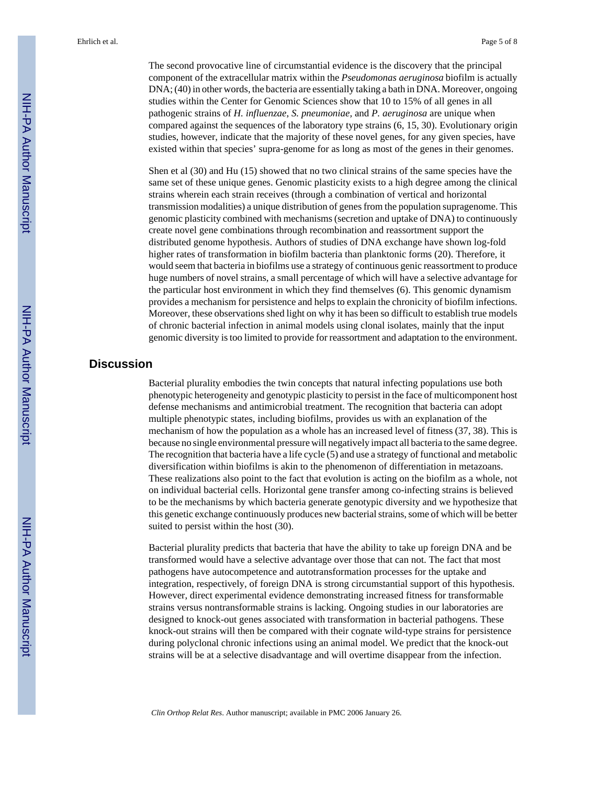The second provocative line of circumstantial evidence is the discovery that the principal component of the extracellular matrix within the *Pseudomonas aeruginosa* biofilm is actually DNA; (40) in other words, the bacteria are essentially taking a bath in DNA. Moreover, ongoing studies within the Center for Genomic Sciences show that 10 to 15% of all genes in all pathogenic strains of *H. influenzae*, *S. pneumoniae,* and *P. aeruginosa* are unique when compared against the sequences of the laboratory type strains (6, 15, 30). Evolutionary origin studies, however, indicate that the majority of these novel genes, for any given species, have existed within that species' supra-genome for as long as most of the genes in their genomes.

Shen et al (30) and Hu (15) showed that no two clinical strains of the same species have the same set of these unique genes. Genomic plasticity exists to a high degree among the clinical strains wherein each strain receives (through a combination of vertical and horizontal transmission modalities) a unique distribution of genes from the population supragenome. This genomic plasticity combined with mechanisms (secretion and uptake of DNA) to continuously create novel gene combinations through recombination and reassortment support the distributed genome hypothesis. Authors of studies of DNA exchange have shown log-fold higher rates of transformation in biofilm bacteria than planktonic forms (20). Therefore, it would seem that bacteria in biofilms use a strategy of continuous genic reassortment to produce huge numbers of novel strains, a small percentage of which will have a selective advantage for the particular host environment in which they find themselves (6). This genomic dynamism provides a mechanism for persistence and helps to explain the chronicity of biofilm infections. Moreover, these observations shed light on why it has been so difficult to establish true models of chronic bacterial infection in animal models using clonal isolates, mainly that the input genomic diversity is too limited to provide for reassortment and adaptation to the environment.

#### **Discussion**

Bacterial plurality embodies the twin concepts that natural infecting populations use both phenotypic heterogeneity and genotypic plasticity to persist in the face of multicomponent host defense mechanisms and antimicrobial treatment. The recognition that bacteria can adopt multiple phenotypic states, including biofilms, provides us with an explanation of the mechanism of how the population as a whole has an increased level of fitness (37, 38). This is because no single environmental pressure will negatively impact all bacteria to the same degree. The recognition that bacteria have a life cycle (5) and use a strategy of functional and metabolic diversification within biofilms is akin to the phenomenon of differentiation in metazoans. These realizations also point to the fact that evolution is acting on the biofilm as a whole, not on individual bacterial cells. Horizontal gene transfer among co-infecting strains is believed to be the mechanisms by which bacteria generate genotypic diversity and we hypothesize that this genetic exchange continuously produces new bacterial strains, some of which will be better suited to persist within the host (30).

Bacterial plurality predicts that bacteria that have the ability to take up foreign DNA and be transformed would have a selective advantage over those that can not. The fact that most pathogens have autocompetence and autotransformation processes for the uptake and integration, respectively, of foreign DNA is strong circumstantial support of this hypothesis. However, direct experimental evidence demonstrating increased fitness for transformable strains versus nontransformable strains is lacking. Ongoing studies in our laboratories are designed to knock-out genes associated with transformation in bacterial pathogens. These knock-out strains will then be compared with their cognate wild-type strains for persistence during polyclonal chronic infections using an animal model. We predict that the knock-out strains will be at a selective disadvantage and will overtime disappear from the infection.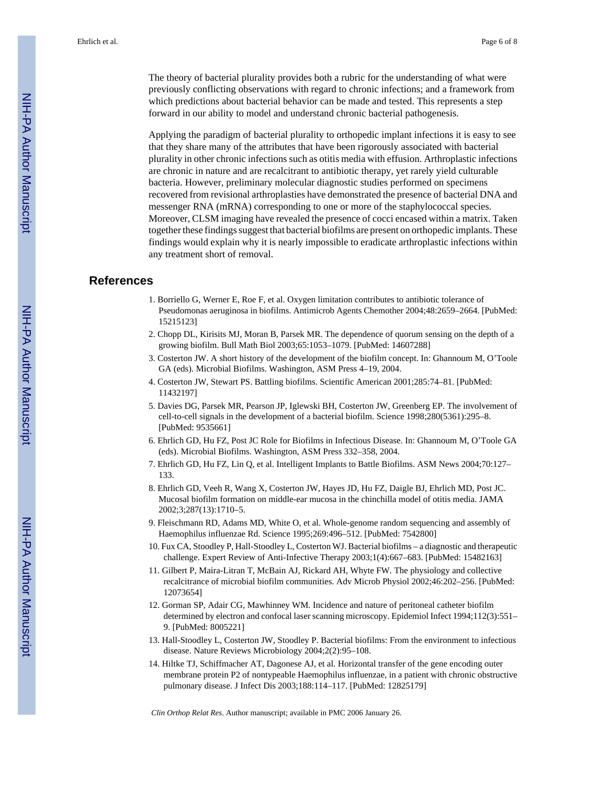The theory of bacterial plurality provides both a rubric for the understanding of what were previously conflicting observations with regard to chronic infections; and a framework from which predictions about bacterial behavior can be made and tested. This represents a step forward in our ability to model and understand chronic bacterial pathogenesis.

Applying the paradigm of bacterial plurality to orthopedic implant infections it is easy to see that they share many of the attributes that have been rigorously associated with bacterial plurality in other chronic infections such as otitis media with effusion. Arthroplastic infections are chronic in nature and are recalcitrant to antibiotic therapy, yet rarely yield culturable bacteria. However, preliminary molecular diagnostic studies performed on specimens recovered from revisional arthroplasties have demonstrated the presence of bacterial DNA and messenger RNA (mRNA) corresponding to one or more of the staphylococcal species. Moreover, CLSM imaging have revealed the presence of cocci encased within a matrix. Taken together these findings suggest that bacterial biofilms are present on orthopedic implants. These findings would explain why it is nearly impossible to eradicate arthroplastic infections within any treatment short of removal.

#### **References**

- 1. Borriello G, Werner E, Roe F, et al. Oxygen limitation contributes to antibiotic tolerance of Pseudomonas aeruginosa in biofilms. Antimicrob Agents Chemother 2004;48:2659–2664. [PubMed: 15215123]
- 2. Chopp DL, Kirisits MJ, Moran B, Parsek MR. The dependence of quorum sensing on the depth of a growing biofilm. Bull Math Biol 2003;65:1053–1079. [PubMed: 14607288]
- 3. Costerton JW. A short history of the development of the biofilm concept. In: Ghannoum M, O'Toole GA (eds). Microbial Biofilms. Washington, ASM Press 4–19, 2004.
- 4. Costerton JW, Stewart PS. Battling biofilms. Scientific American 2001;285:74–81. [PubMed: 11432197]
- 5. Davies DG, Parsek MR, Pearson JP, Iglewski BH, Costerton JW, Greenberg EP. The involvement of cell-to-cell signals in the development of a bacterial biofilm. Science 1998;280(5361):295–8. [PubMed: 9535661]
- 6. Ehrlich GD, Hu FZ, Post JC Role for Biofilms in Infectious Disease. In: Ghannoum M, O'Toole GA (eds). Microbial Biofilms. Washington, ASM Press 332–358, 2004.
- 7. Ehrlich GD, Hu FZ, Lin Q, et al. Intelligent Implants to Battle Biofilms. ASM News 2004;70:127– 133.
- 8. Ehrlich GD, Veeh R, Wang X, Costerton JW, Hayes JD, Hu FZ, Daigle BJ, Ehrlich MD, Post JC. Mucosal biofilm formation on middle-ear mucosa in the chinchilla model of otitis media. JAMA 2002;3;287(13):1710–5.
- 9. Fleischmann RD, Adams MD, White O, et al. Whole-genome random sequencing and assembly of Haemophilus influenzae Rd. Science 1995;269:496–512. [PubMed: 7542800]
- 10. Fux CA, Stoodley P, Hall-Stoodley L, Costerton WJ. Bacterial biofilms a diagnostic and therapeutic challenge. Expert Review of Anti-Infective Therapy 2003;1(4):667–683. [PubMed: 15482163]
- 11. Gilbert P, Maira-Litran T, McBain AJ, Rickard AH, Whyte FW. The physiology and collective recalcitrance of microbial biofilm communities. Adv Microb Physiol 2002;46:202–256. [PubMed: 12073654]
- 12. Gorman SP, Adair CG, Mawhinney WM. Incidence and nature of peritoneal catheter biofilm determined by electron and confocal laser scanning microscopy. Epidemiol Infect 1994;112(3):551– 9. [PubMed: 8005221]
- 13. Hall-Stoodley L, Costerton JW, Stoodley P. Bacterial biofilms: From the environment to infectious disease. Nature Reviews Microbiology 2004;2(2):95–108.
- 14. Hiltke TJ, Schiffmacher AT, Dagonese AJ, et al. Horizontal transfer of the gene encoding outer membrane protein P2 of nontypeable Haemophilus influenzae, in a patient with chronic obstructive pulmonary disease. J Infect Dis 2003;188:114–117. [PubMed: 12825179]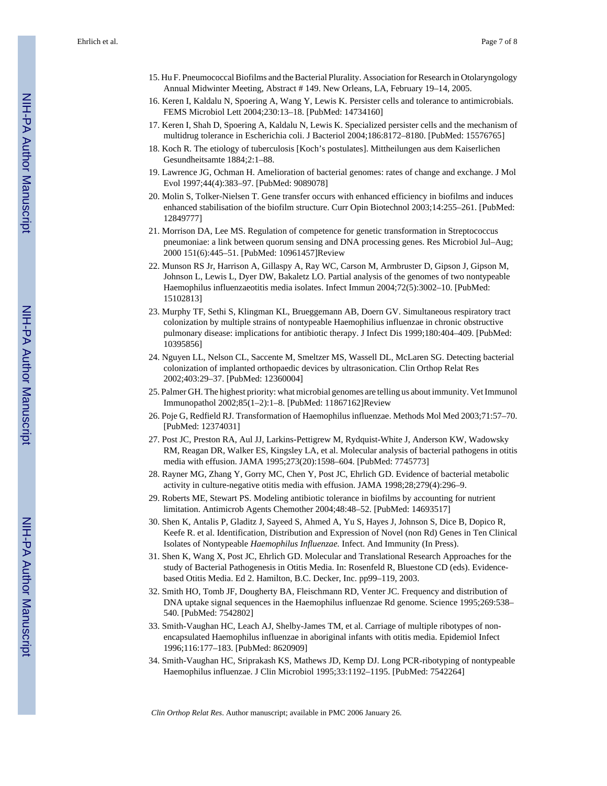Ehrlich et al. Page 7 of 8

- 15. Hu F. Pneumococcal Biofilms and the Bacterial Plurality. Association for Research in Otolaryngology Annual Midwinter Meeting, Abstract # 149. New Orleans, LA, February 19–14, 2005.
- 16. Keren I, Kaldalu N, Spoering A, Wang Y, Lewis K. Persister cells and tolerance to antimicrobials. FEMS Microbiol Lett 2004;230:13–18. [PubMed: 14734160]
- 17. Keren I, Shah D, Spoering A, Kaldalu N, Lewis K. Specialized persister cells and the mechanism of multidrug tolerance in Escherichia coli. J Bacteriol 2004;186:8172–8180. [PubMed: 15576765]
- 18. Koch R. The etiology of tuberculosis [Koch's postulates]. Mittheilungen aus dem Kaiserlichen Gesundheitsamte 1884;2:1–88.
- 19. Lawrence JG, Ochman H. Amelioration of bacterial genomes: rates of change and exchange. J Mol Evol 1997;44(4):383–97. [PubMed: 9089078]
- 20. Molin S, Tolker-Nielsen T. Gene transfer occurs with enhanced efficiency in biofilms and induces enhanced stabilisation of the biofilm structure. Curr Opin Biotechnol 2003;14:255–261. [PubMed: 12849777]
- 21. Morrison DA, Lee MS. Regulation of competence for genetic transformation in Streptococcus pneumoniae: a link between quorum sensing and DNA processing genes. Res Microbiol Jul–Aug; 2000 151(6):445–51. [PubMed: 10961457]Review
- 22. Munson RS Jr, Harrison A, Gillaspy A, Ray WC, Carson M, Armbruster D, Gipson J, Gipson M, Johnson L, Lewis L, Dyer DW, Bakaletz LO. Partial analysis of the genomes of two nontypeable Haemophilus influenzaeotitis media isolates. Infect Immun 2004;72(5):3002–10. [PubMed: 15102813]
- 23. Murphy TF, Sethi S, Klingman KL, Brueggemann AB, Doern GV. Simultaneous respiratory tract colonization by multiple strains of nontypeable Haemophilius influenzae in chronic obstructive pulmonary disease: implications for antibiotic therapy. J Infect Dis 1999;180:404–409. [PubMed: 10395856]
- 24. Nguyen LL, Nelson CL, Saccente M, Smeltzer MS, Wassell DL, McLaren SG. Detecting bacterial colonization of implanted orthopaedic devices by ultrasonication. Clin Orthop Relat Res 2002;403:29–37. [PubMed: 12360004]
- 25. Palmer GH. The highest priority: what microbial genomes are telling us about immunity. Vet Immunol Immunopathol 2002;85(1–2):1–8. [PubMed: 11867162]Review
- 26. Poje G, Redfield RJ. Transformation of Haemophilus influenzae. Methods Mol Med 2003;71:57–70. [PubMed: 12374031]
- 27. Post JC, Preston RA, Aul JJ, Larkins-Pettigrew M, Rydquist-White J, Anderson KW, Wadowsky RM, Reagan DR, Walker ES, Kingsley LA, et al. Molecular analysis of bacterial pathogens in otitis media with effusion. JAMA 1995;273(20):1598–604. [PubMed: 7745773]
- 28. Rayner MG, Zhang Y, Gorry MC, Chen Y, Post JC, Ehrlich GD. Evidence of bacterial metabolic activity in culture-negative otitis media with effusion. JAMA 1998;28;279(4):296–9.
- 29. Roberts ME, Stewart PS. Modeling antibiotic tolerance in biofilms by accounting for nutrient limitation. Antimicrob Agents Chemother 2004;48:48–52. [PubMed: 14693517]
- 30. Shen K, Antalis P, Gladitz J, Sayeed S, Ahmed A, Yu S, Hayes J, Johnson S, Dice B, Dopico R, Keefe R. et al. Identification, Distribution and Expression of Novel (non Rd) Genes in Ten Clinical Isolates of Nontypeable *Haemophilus Influenzae.* Infect. And Immunity (In Press).
- 31. Shen K, Wang X, Post JC, Ehrlich GD. Molecular and Translational Research Approaches for the study of Bacterial Pathogenesis in Otitis Media. In: Rosenfeld R, Bluestone CD (eds). Evidencebased Otitis Media. Ed 2. Hamilton, B.C. Decker, Inc. pp99–119, 2003.
- 32. Smith HO, Tomb JF, Dougherty BA, Fleischmann RD, Venter JC. Frequency and distribution of DNA uptake signal sequences in the Haemophilus influenzae Rd genome. Science 1995;269:538– 540. [PubMed: 7542802]
- 33. Smith-Vaughan HC, Leach AJ, Shelby-James TM, et al. Carriage of multiple ribotypes of nonencapsulated Haemophilus influenzae in aboriginal infants with otitis media. Epidemiol Infect 1996;116:177–183. [PubMed: 8620909]
- 34. Smith-Vaughan HC, Sriprakash KS, Mathews JD, Kemp DJ. Long PCR-ribotyping of nontypeable Haemophilus influenzae. J Clin Microbiol 1995;33:1192–1195. [PubMed: 7542264]